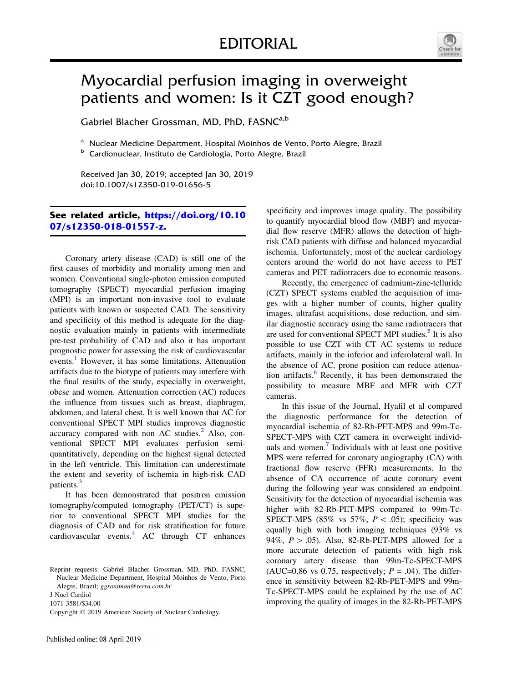

## Myocardial perfusion imaging in overweight patients and women: Is it CZT good enough?

Gabriel Blacher Grossman, MD, PhD, FASNC<sup>a,b</sup>

<sup>a</sup> Nuclear Medicine Department, Hospital Moinhos de Vento, Porto Alegre, Brazil

<sup>b</sup> Cardionuclear, Instituto de Cardiologia, Porto Alegre, Brazil

Received Jan 30, 2019; accepted Jan 30, 2019 doi:10.1007/s12350-019-01656-5

## See related article, [https://doi.org/10.10](https://doi.org/10.1007/s12350-018-01557-z) [07/s12350-018-01557-z.](https://doi.org/10.1007/s12350-018-01557-z)

Coronary artery disease (CAD) is still one of the first causes of morbidity and mortality among men and women. Conventional single-photon emission computed tomography (SPECT) myocardial perfusion imaging (MPI) is an important non-invasive tool to evaluate patients with known or suspected CAD. The sensitivity and specificity of this method is adequate for the diagnostic evaluation mainly in patients with intermediate pre-test probability of CAD and also it has important prognostic power for assessing the risk of cardiovascular events.<sup>[1](#page-3-0)</sup> However, it has some limitations. Attenuation artifacts due to the biotype of patients may interfere with the final results of the study, especially in overweight, obese and women. Attenuation correction (AC) reduces the influence from tissues such as breast, diaphragm, abdomen, and lateral chest. It is well known that AC for conventional SPECT MPI studies improves diagnostic accuracy compared with non AC studies. $<sup>2</sup>$  $<sup>2</sup>$  $<sup>2</sup>$  Also, con-</sup> ventional SPECT MPI evaluates perfusion semiquantitatively, depending on the highest signal detected in the left ventricle. This limitation can underestimate the extent and severity of ischemia in high-risk CAD patients.<sup>[3](#page-3-0)</sup>

It has been demonstrated that positron emission tomography/computed tomography (PET/CT) is superior to conventional SPECT MPI studies for the diagnosis of CAD and for risk stratification for future cardiovascular events.<sup>[4](#page-3-0)</sup> AC through CT enhances

1071-3581/\$34.00

specificity and improves image quality. The possibility to quantify myocardial blood flow (MBF) and myocardial flow reserve (MFR) allows the detection of highrisk CAD patients with diffuse and balanced myocardial ischemia. Unfortunately, most of the nuclear cardiology centers around the world do not have access to PET cameras and PET radiotracers due to economic reasons.

Recently, the emergence of cadmium-zinc-telluride (CZT) SPECT systems enabled the acquisition of images with a higher number of counts, higher quality images, ultrafast acquisitions, dose reduction, and similar diagnostic accuracy using the same radiotracers that are used for conventional SPECT MPI studies.<sup>[5](#page-3-0)</sup> It is also possible to use CZT with CT AC systems to reduce artifacts, mainly in the inferior and inferolateral wall. In the absence of AC, prone position can reduce attenua-tion artifacts.<sup>[6](#page-4-0)</sup> Recently, it has been demonstrated the possibility to measure MBF and MFR with CZT cameras.

In this issue of the Journal, Hyafil et al compared the diagnostic performance for the detection of myocardial ischemia of 82-Rb-PET-MPS and 99m-Tc-SPECT-MPS with CZT camera in overweight individ-uals and women.<sup>[7](#page-4-0)</sup> Individuals with at least one positive MPS were referred for coronary angiography (CA) with fractional flow reserve (FFR) measurements. In the absence of CA occurrence of acute coronary event during the following year was considered an endpoint. Sensitivity for the detection of myocardial ischemia was higher with 82-Rb-PET-MPS compared to 99m-Tc-SPECT-MPS (85% vs 57%,  $P \lt .05$ ); specificity was equally high with both imaging techniques (93% vs 94%,  $P > .05$ ). Also, 82-Rb-PET-MPS allowed for a more accurate detection of patients with high risk coronary artery disease than 99m-Tc-SPECT-MPS (AUC=0.86 vs 0.75, respectively;  $P = .04$ ). The difference in sensitivity between 82-Rb-PET-MPS and 99m-Tc-SPECT-MPS could be explained by the use of AC improving the quality of images in the 82-Rb-PET-MPS

Reprint requests: Gabriel Blacher Grossman, MD, PhD, FASNC, Nuclear Medicine Department, Hospital Moinhos de Vento, Porto Alegre, Brazil; ggrossman@terra.com.br

J Nucl Cardiol

Copyright © 2019 American Society of Nuclear Cardiology.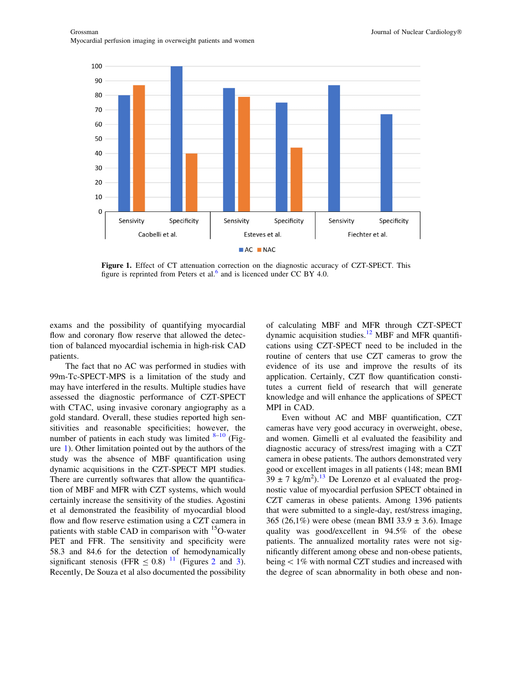

Figure 1. Effect of CT attenuation correction on the diagnostic accuracy of CZT-SPECT. This figure is reprinted from Peters et al. $<sup>6</sup>$  $<sup>6</sup>$  $<sup>6</sup>$  and is licenced under CC BY 4.0.</sup>

exams and the possibility of quantifying myocardial flow and coronary flow reserve that allowed the detection of balanced myocardial ischemia in high-risk CAD patients.

The fact that no AC was performed in studies with 99m-Tc-SPECT-MPS is a limitation of the study and may have interfered in the results. Multiple studies have assessed the diagnostic performance of CZT-SPECT with CTAC, using invasive coronary angiography as a gold standard. Overall, these studies reported high sensitivities and reasonable specificities; however, the number of patients in each study was limited  $8-10$  (Figure 1). Other limitation pointed out by the authors of the study was the absence of MBF quantification using dynamic acquisitions in the CZT-SPECT MPI studies. There are currently softwares that allow the quantification of MBF and MFR with CZT systems, which would certainly increase the sensitivity of the studies. Agostini et al demonstrated the feasibility of myocardial blood flow and flow reserve estimation using a CZT camera in patients with stable CAD in comparison with <sup>15</sup>O-water PET and FFR. The sensitivity and specificity were 58.3 and 84.6 for the detection of hemodynamically significant stenosis (FFR  $\leq 0.8$ ) <sup>[11](#page-4-0)</sup> (Figures [2](#page-2-0) and [3](#page-3-0)). Recently, De Souza et al also documented the possibility

of calculating MBF and MFR through CZT-SPECT dynamic acquisition studies.<sup>[12](#page-4-0)</sup> MBF and MFR quantifications using CZT-SPECT need to be included in the routine of centers that use CZT cameras to grow the evidence of its use and improve the results of its application. Certainly, CZT flow quantification constitutes a current field of research that will generate knowledge and will enhance the applications of SPECT MPI in CAD.

Even without AC and MBF quantification, CZT cameras have very good accuracy in overweight, obese, and women. Gimelli et al evaluated the feasibility and diagnostic accuracy of stress/rest imaging with a CZT camera in obese patients. The authors demonstrated very good or excellent images in all patients (148; mean BMI  $39 \pm 7$  kg/m<sup>2</sup>).<sup>[13](#page-4-0)</sup> De Lorenzo et al evaluated the prognostic value of myocardial perfusion SPECT obtained in CZT cameras in obese patients. Among 1396 patients that were submitted to a single-day, rest/stress imaging, 365 (26,1%) were obese (mean BMI 33.9  $\pm$  3.6). Image quality was good/excellent in 94.5% of the obese patients. The annualized mortality rates were not significantly different among obese and non-obese patients, being  $< 1\%$  with normal CZT studies and increased with the degree of scan abnormality in both obese and non-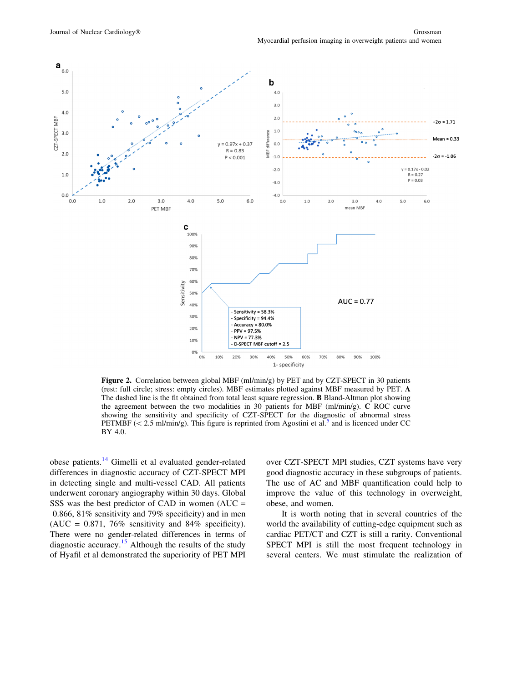<span id="page-2-0"></span>

Figure 2. Correlation between global MBF (ml/min/g) by PET and by CZT-SPECT in 30 patients (rest: full circle; stress: empty circles). MBF estimates plotted against MBF measured by PET. A The dashed line is the fit obtained from total least square regression. B Bland-Altman plot showing the agreement between the two modalities in 30 patients for MBF (ml/min/g). C ROC curve showing the sensitivity and specificity of CZT-SPECT for the diagnostic of abnormal stress PETMBF ( $\lt$  2.[5](#page-3-0) ml/min/g). This figure is reprinted from Agostini et al.<sup>5</sup> and is licenced under CC BY 4.0.

obese patients.[14](#page-4-0) Gimelli et al evaluated gender-related differences in diagnostic accuracy of CZT-SPECT MPI in detecting single and multi-vessel CAD. All patients underwent coronary angiography within 30 days. Global SSS was the best predictor of CAD in women  $(AUC =$ 0.866, 81% sensitivity and 79% specificity) and in men (AUC =  $0.871$ , 76% sensitivity and 84% specificity). There were no gender-related differences in terms of diagnostic accuracy.<sup>[15](#page-4-0)</sup> Although the results of the study of Hyafil et al demonstrated the superiority of PET MPI

over CZT-SPECT MPI studies, CZT systems have very good diagnostic accuracy in these subgroups of patients. The use of AC and MBF quantification could help to improve the value of this technology in overweight, obese, and women.

It is worth noting that in several countries of the world the availability of cutting-edge equipment such as cardiac PET/CT and CZT is still a rarity. Conventional SPECT MPI is still the most frequent technology in several centers. We must stimulate the realization of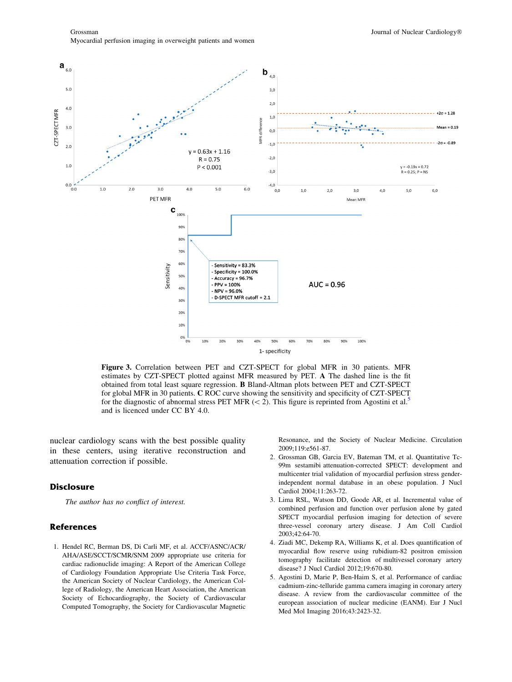Grossman Journal of Nuclear Cardiology<sup>®</sup> Myocardial perfusion imaging in overweight patients and women

<span id="page-3-0"></span>

Figure 3. Correlation between PET and CZT-SPECT for global MFR in 30 patients. MFR estimates by CZT-SPECT plotted against MFR measured by PET. A The dashed line is the fit obtained from total least square regression. B Bland-Altman plots between PET and CZT-SPECT for global MFR in 30 patients. C ROC curve showing the sensitivity and specificity of CZT-SPECT for the diagnostic of abnormal stress PET MFR ( $\lt$  2). This figure is reprinted from Agostini et al.<sup>5</sup> and is licenced under CC BY 4.0.

nuclear cardiology scans with the best possible quality in these centers, using iterative reconstruction and attenuation correction if possible.

## **Disclosure**

The author has no conflict of interest.

## References

1. Hendel RC, Berman DS, Di Carli MF, et al. ACCF/ASNC/ACR/ AHA/ASE/SCCT/SCMR/SNM 2009 appropriate use criteria for cardiac radionuclide imaging: A Report of the American College of Cardiology Foundation Appropriate Use Criteria Task Force, the American Society of Nuclear Cardiology, the American College of Radiology, the American Heart Association, the American Society of Echocardiography, the Society of Cardiovascular Computed Tomography, the Society for Cardiovascular Magnetic Resonance, and the Society of Nuclear Medicine. Circulation 2009;119:e561-87.

- 2. Grossman GB, Garcia EV, Bateman TM, et al. Quantitative Tc-99m sestamibi attenuation-corrected SPECT: development and multicenter trial validation of myocardial perfusion stress genderindependent normal database in an obese population. J Nucl Cardiol 2004;11:263-72.
- 3. Lima RSL, Watson DD, Goode AR, et al. Incremental value of combined perfusion and function over perfusion alone by gated SPECT myocardial perfusion imaging for detection of severe three-vessel coronary artery disease. J Am Coll Cardiol 2003;42:64-70.
- 4. Ziadi MC, Dekemp RA, Williams K, et al. Does quantification of myocardial flow reserve using rubidium-82 positron emission tomography facilitate detection of multivessel coronary artery disease? J Nucl Cardiol 2012;19:670-80.
- 5. Agostini D, Marie P, Ben-Haim S, et al. Performance of cardiac cadmium-zinc-telluride gamma camera imaging in coronary artery disease. A review from the cardiovascular committee of the european association of nuclear medicine (EANM). Eur J Nucl Med Mol Imaging 2016;43:2423-32.